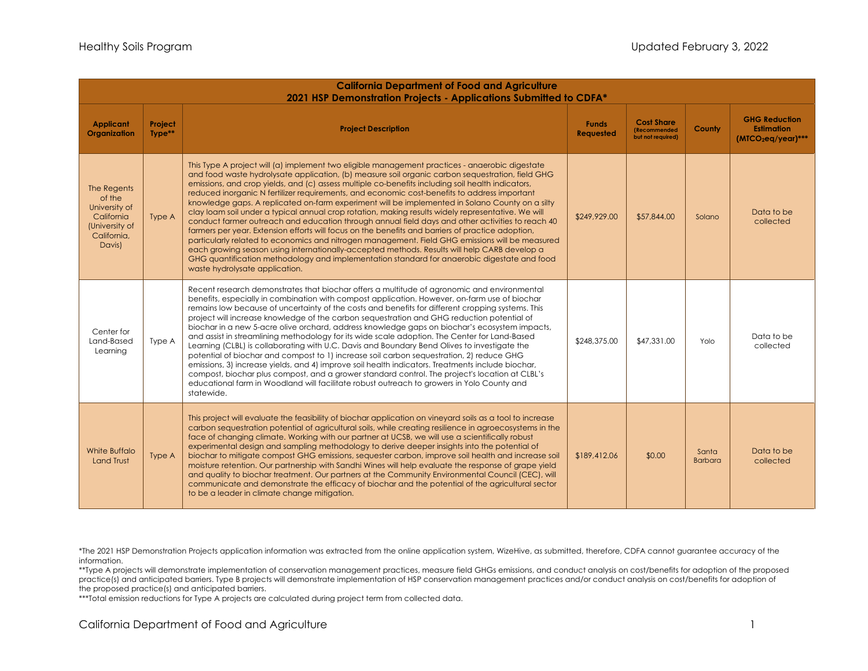| <b>California Department of Food and Agriculture</b><br>2021 HSP Demonstration Projects - Applications Submitted to CDFA* |                   |                                                                                                                                                                                                                                                                                                                                                                                                                                                                                                                                                                                                                                                                                                                                                                                                                                                                                                                                                                                                                                                                                                                                                               |                                  |                                                                |                         |                                                                  |
|---------------------------------------------------------------------------------------------------------------------------|-------------------|---------------------------------------------------------------------------------------------------------------------------------------------------------------------------------------------------------------------------------------------------------------------------------------------------------------------------------------------------------------------------------------------------------------------------------------------------------------------------------------------------------------------------------------------------------------------------------------------------------------------------------------------------------------------------------------------------------------------------------------------------------------------------------------------------------------------------------------------------------------------------------------------------------------------------------------------------------------------------------------------------------------------------------------------------------------------------------------------------------------------------------------------------------------|----------------------------------|----------------------------------------------------------------|-------------------------|------------------------------------------------------------------|
| <b>Applicant</b><br>Organization                                                                                          | Project<br>Type** | <b>Project Description</b>                                                                                                                                                                                                                                                                                                                                                                                                                                                                                                                                                                                                                                                                                                                                                                                                                                                                                                                                                                                                                                                                                                                                    | <b>Funds</b><br><b>Requested</b> | <b>Cost Share</b><br><b>(Recommended)</b><br>but not required) | County                  | <b>GHG Reduction</b><br><b>Estimation</b><br>$(MTCO2eq/year)***$ |
| The Regents<br>of the<br>University of<br>California<br>(University of<br>California,<br>Davis)                           | Type A            | This Type A project will (a) implement two eligible management practices - anaerobic digestate<br>and food waste hydrolysate application, (b) measure soil organic carbon sequestration, field GHG<br>emissions, and crop yields, and (c) assess multiple co-benefits including soil health indicators,<br>reduced inorganic N fertilizer requirements, and economic cost-benefits to address important<br>knowledge gaps. A replicated on-farm experiment will be implemented in Solano County on a silty<br>clay loam soil under a typical annual crop rotation, making results widely representative. We will<br>conduct farmer outreach and education through annual field days and other activities to reach 40<br>farmers per year. Extension efforts will focus on the benefits and barriers of practice adoption,<br>particularly related to economics and nitrogen management. Field GHG emissions will be measured<br>each growing season using internationally-accepted methods. Results will help CARB develop a<br>GHG quantification methodology and implementation standard for anaerobic digestate and food<br>waste hydrolysate application. | \$249,929.00                     | \$57,844.00                                                    | Solano                  | Data to be<br>collected                                          |
| Center for<br>Land-Based<br>Learning                                                                                      | Type A            | Recent research demonstrates that biochar offers a multitude of agronomic and environmental<br>benefits, especially in combination with compost application. However, on-farm use of biochar<br>remains low because of uncertainty of the costs and benefits for different cropping systems. This<br>project will increase knowledge of the carbon sequestration and GHG reduction potential of<br>biochar in a new 5-acre olive orchard, address knowledge gaps on biochar's ecosystem impacts,<br>and assist in streamlining methodology for its wide scale adoption. The Center for Land-Based<br>Learning (CLBL) is collaborating with U.C. Davis and Boundary Bend Olives to investigate the<br>potential of biochar and compost to 1) increase soil carbon sequestration, 2) reduce GHG<br>emissions, 3) increase yields, and 4) improve soil health indicators. Treatments include biochar,<br>compost, biochar plus compost, and a grower standard control. The project's location at CLBL's<br>educational farm in Woodland will facilitate robust outreach to growers in Yolo County and<br>statewide.                                              | \$248,375.00                     | \$47,331.00                                                    | Yolo                    | Data to be<br>collected                                          |
| White Buffalo<br><b>Land Trust</b>                                                                                        | Type A            | This project will evaluate the feasibility of biochar application on vineyard soils as a tool to increase<br>carbon sequestration potential of agricultural soils, while creating resilience in agroecosystems in the<br>face of changing climate. Working with our partner at UCSB, we will use a scientifically robust<br>experimental design and sampling methodology to derive deeper insights into the potential of<br>biochar to mitigate compost GHG emissions, sequester carbon, improve soil health and increase soil<br>moisture retention. Our partnership with Sandhi Wines will help evaluate the response of grape yield<br>and quality to biochar treatment. Our partners at the Community Environmental Council (CEC), will<br>communicate and demonstrate the efficacy of biochar and the potential of the agricultural sector<br>to be a leader in climate change mitigation.                                                                                                                                                                                                                                                               | \$189,412.06                     | \$0.00                                                         | Santa<br><b>Barbara</b> | Data to be<br>collected                                          |

\*\*Type A projects will demonstrate implementation of conservation management practices, measure field GHGs emissions, and conduct analysis on cost/benefits for adoption of the proposed practice(s) and anticipated barriers. Type B projects will demonstrate implementation of HSP conservation management practices and/or conduct analysis on cost/benefits for adoption of the proposed practice(s) and anticipated barriers.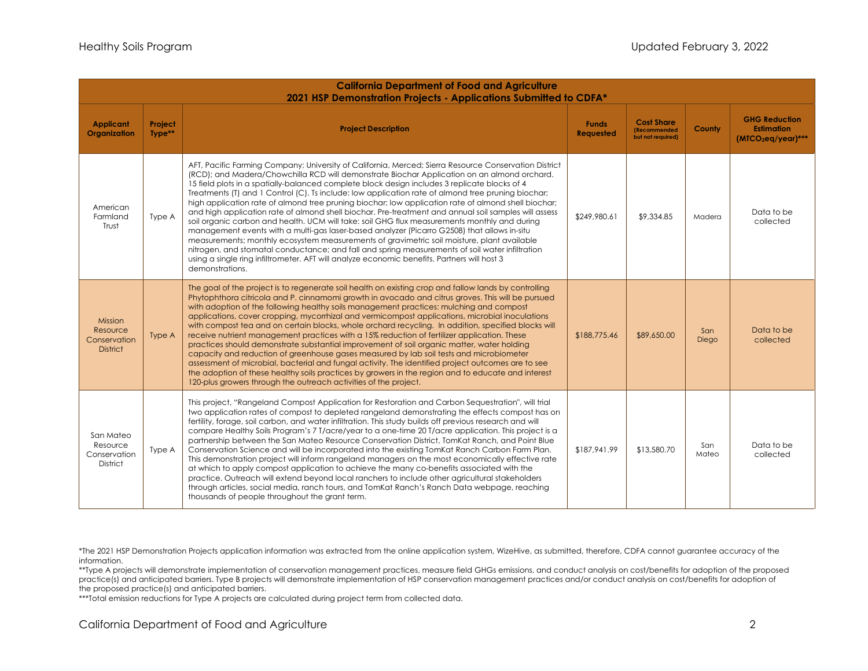| <b>California Department of Food and Agriculture</b><br>2021 HSP Demonstration Projects - Applications Submitted to CDFA* |                   |                                                                                                                                                                                                                                                                                                                                                                                                                                                                                                                                                                                                                                                                                                                                                                                                                                                                                                                                                                                                                                                                                                                                              |                           |                                                                |              |                                                                             |
|---------------------------------------------------------------------------------------------------------------------------|-------------------|----------------------------------------------------------------------------------------------------------------------------------------------------------------------------------------------------------------------------------------------------------------------------------------------------------------------------------------------------------------------------------------------------------------------------------------------------------------------------------------------------------------------------------------------------------------------------------------------------------------------------------------------------------------------------------------------------------------------------------------------------------------------------------------------------------------------------------------------------------------------------------------------------------------------------------------------------------------------------------------------------------------------------------------------------------------------------------------------------------------------------------------------|---------------------------|----------------------------------------------------------------|--------------|-----------------------------------------------------------------------------|
| <b>Applicant</b><br>Organization                                                                                          | Project<br>Type** | <b>Project Description</b>                                                                                                                                                                                                                                                                                                                                                                                                                                                                                                                                                                                                                                                                                                                                                                                                                                                                                                                                                                                                                                                                                                                   | <b>Funds</b><br>Requested | <b>Cost Share</b><br><b>(Recommended)</b><br>but not required) | County       | <b>GHG Reduction</b><br><b>Estimation</b><br>(MTCO <sub>2</sub> eq/year)*** |
| American<br>Farmland<br>Trust                                                                                             | Type A            | AFT, Pacific Farming Company; University of California, Merced; Sierra Resource Conservation District<br>(RCD); and Madera/Chowchilla RCD will demonstrate Biochar Application on an almond orchard.<br>15 field plots in a spatially-balanced complete block design includes 3 replicate blocks of 4<br>Treatments (T) and 1 Control (C). Ts include: low application rate of almond tree pruning biochar;<br>high application rate of almond tree pruning biochar; low application rate of almond shell biochar;<br>and high application rate of almond shell biochar. Pre-treatment and annual soil samples will assess<br>soil organic carbon and health. UCM will take: soil GHG flux measurements monthly and during<br>management events with a multi-gas laser-based analyzer (Picarro G2508) that allows in-situ<br>measurements; monthly ecosystem measurements of gravimetric soil moisture, plant available<br>nitrogen, and stomatal conductance; and fall and spring measurements of soil water infiltration<br>using a single ring infiltrometer. AFT will analyze economic benefits. Partners will host 3<br>demonstrations. | \$249,980.61              | \$9,334.85                                                     | Madera       | Data to be<br>collected                                                     |
| Mission<br>Resource<br>Conservation<br><b>District</b>                                                                    | Type A            | The goal of the project is to regenerate soil health on existing crop and fallow lands by controlling<br>Phytophthora citricola and P. cinnamomi growth in avocado and citrus groves. This will be pursued<br>with adoption of the following healthy soils management practices: mulching and compost<br>applications, cover cropping, mycorrhizal and vermicompost applications, microbial inoculations<br>with compost tea and on certain blocks, whole orchard recycling. In addition, specified blocks will<br>receive nutrient management practices with a 15% reduction of fertilizer application. These<br>practices should demonstrate substantial improvement of soil organic matter, water holding<br>capacity and reduction of greenhouse gases measured by lab soil tests and microbiometer<br>assessment of microbial, bacterial and fungal activity. The identified project outcomes are to see<br>the adoption of these healthy soils practices by growers in the region and to educate and interest<br>120-plus growers through the outreach activities of the project.                                                      | \$188,775.46              | \$89,650.00                                                    | San<br>Diego | Data to be<br>collected                                                     |
| San Mateo<br>Resource<br>Conservation<br><b>District</b>                                                                  | Type A            | This project, "Rangeland Compost Application for Restoration and Carbon Sequestration", will trial<br>two application rates of compost to depleted rangeland demonstrating the effects compost has on<br>fertility, forage, soil carbon, and water infiltration. This study builds off previous research and will<br>compare Healthy Soils Program's 7 T/acre/year to a one-time 20 T/acre application. This project is a<br>partnership between the San Mateo Resource Conservation District, TomKat Ranch, and Point Blue<br>Conservation Science and will be incorporated into the existing TomKat Ranch Carbon Farm Plan.<br>This demonstration project will inform rangeland managers on the most economically effective rate<br>at which to apply compost application to achieve the many co-benefits associated with the<br>practice. Outreach will extend beyond local ranchers to include other agricultural stakeholders<br>through articles, social media, ranch tours, and TomKat Ranch's Ranch Data webpage, reaching<br>thousands of people throughout the grant term.                                                         | \$187,941.99              | \$13,580.70                                                    | San<br>Mateo | Data to be<br>collected                                                     |

\*\*Type A projects will demonstrate implementation of conservation management practices, measure field GHGs emissions, and conduct analysis on cost/benefits for adoption of the proposed practice(s) and anticipated barriers. Type B projects will demonstrate implementation of HSP conservation management practices and/or conduct analysis on cost/benefits for adoption of the proposed practice(s) and anticipated barriers.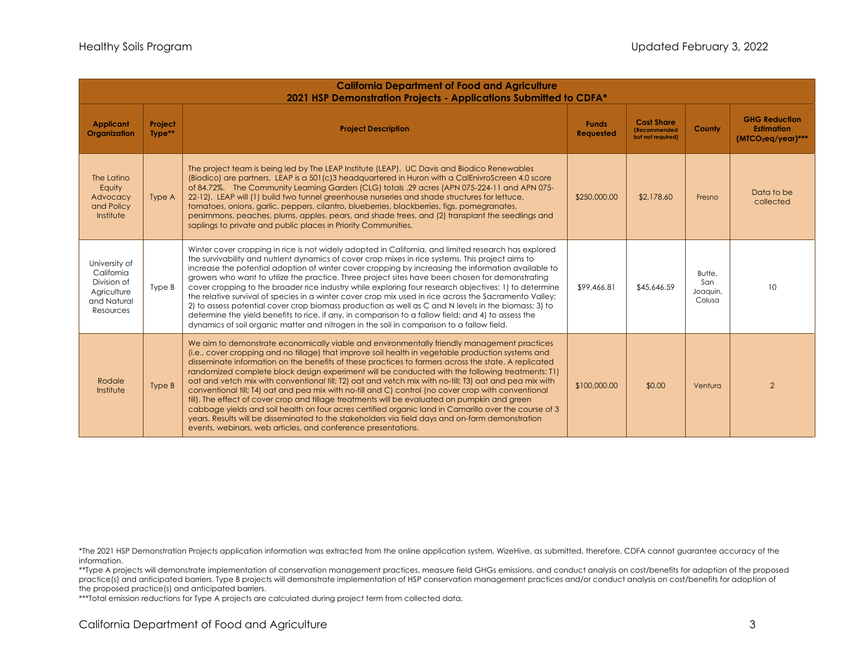| <b>California Department of Food and Agriculture</b><br>2021 HSP Demonstration Projects - Applications Submitted to CDFA* |                   |                                                                                                                                                                                                                                                                                                                                                                                                                                                                                                                                                                                                                                                                                                                                                                                                                                                                                                                                                                                                               |                                  |                                                                |                                     |                                                                  |
|---------------------------------------------------------------------------------------------------------------------------|-------------------|---------------------------------------------------------------------------------------------------------------------------------------------------------------------------------------------------------------------------------------------------------------------------------------------------------------------------------------------------------------------------------------------------------------------------------------------------------------------------------------------------------------------------------------------------------------------------------------------------------------------------------------------------------------------------------------------------------------------------------------------------------------------------------------------------------------------------------------------------------------------------------------------------------------------------------------------------------------------------------------------------------------|----------------------------------|----------------------------------------------------------------|-------------------------------------|------------------------------------------------------------------|
| <b>Applicant</b><br>Organization                                                                                          | Project<br>Type** | <b>Project Description</b>                                                                                                                                                                                                                                                                                                                                                                                                                                                                                                                                                                                                                                                                                                                                                                                                                                                                                                                                                                                    | <b>Funds</b><br><b>Requested</b> | <b>Cost Share</b><br><b>(Recommended)</b><br>but not required) | <b>County</b>                       | <b>GHG Reduction</b><br><b>Estimation</b><br>$(MTCO2eq/year)***$ |
| The Latino<br>Equity<br>Advocacy<br>and Policy<br>Institute                                                               | Type A            | The project team is being led by The LEAP Institute (LEAP). UC Davis and Biodico Renewables<br>(Biodico) are partners. LEAP is a 501(c)3 headquartered in Huron with a CalEnivroScreen 4.0 score<br>of 84.72%. The Community Learning Garden (CLG) totals .29 acres (APN 075-224-11 and APN 075-<br>22-12). LEAP will (1) build two tunnel greenhouse nurseries and shade structures for lettuce,<br>tomatoes, onions, garlic, peppers, cilantro, blueberries, blackberries, figs, pomegranates,<br>persimmons, peaches, plums, apples, pears, and shade trees, and (2) transplant the seedlings and<br>saplings to private and public places in Priority Communities.                                                                                                                                                                                                                                                                                                                                        | \$250,000.00                     | \$2,178.60                                                     | Fresno                              | Data to be<br>collected                                          |
| University of<br>California<br>Division of<br>Agriculture<br>and Natural<br>Resources                                     | Type B            | Winter cover cropping in rice is not widely adopted in California, and limited research has explored<br>the survivability and nutrient dynamics of cover crop mixes in rice systems. This project aims to<br>increase the potential adoption of winter cover cropping by increasing the information available to<br>growers who want to utilize the practice. Three project sites have been chosen for demonstrating<br>cover cropping to the broader rice industry while exploring four research objectives: 1) to determine<br>the relative survival of species in a winter cover crop mix used in rice across the Sacramento Valley;<br>2) to assess potential cover crop biomass production as well as C and N levels in the biomass; 3) to<br>determine the yield benefits to rice, if any, in comparison to a fallow field; and 4) to assess the<br>dynamics of soil organic matter and nitrogen in the soil in comparison to a fallow field.                                                           | \$99,466.81                      | \$45,646.59                                                    | Butte,<br>San<br>Joaquin,<br>Colusa | 10                                                               |
| Rodale<br>Institute                                                                                                       | Type B            | We aim to demonstrate economically viable and environmentally friendly management practices<br>(i.e., cover cropping and no tillage) that improve soil health in vegetable production systems and<br>disseminate information on the benefits of these practices to farmers across the state. A replicated<br>randomized complete block design experiment will be conducted with the following treatments: [1]<br>oat and vetch mix with conventional till; T2) oat and vetch mix with no-till; T3) oat and pea mix with<br>conventional till; T4) oat and pea mix with no-till and C) control (no cover crop with conventional<br>till). The effect of cover crop and tillage treatments will be evaluated on pumpkin and green<br>cabbage yields and soil health on four acres certified organic land in Camarillo over the course of 3<br>years. Results will be disseminated to the stakeholders via field days and on-farm demonstration<br>events, webinars, web articles, and conference presentations. | \$100,000.00                     | \$0.00                                                         | Ventura                             | 2                                                                |

\*\*Type A projects will demonstrate implementation of conservation management practices, measure field GHGs emissions, and conduct analysis on cost/benefits for adoption of the proposed practice(s) and anticipated barriers. Type B projects will demonstrate implementation of HSP conservation management practices and/or conduct analysis on cost/benefits for adoption of the proposed practice(s) and anticipated barriers.